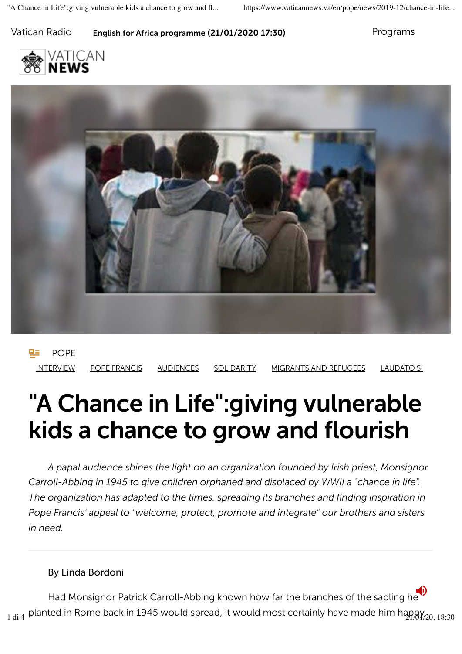### Vatican Radio **English for Africa programme (21/01/2020 17:30)** Programs





! POPE INTERVIEW POPE FRANCIS AUDIENCES SOLIDARITY MIGRANTS AND REFUGEES LAUDATO SI

# "A Chance in Life":giving vulnerable kids a chance to grow and flourish

*A papal audience shines the light on an organization founded by Irish priest, Monsignor Carroll-Abbing in 1945 to give children orphaned and displaced by WWII a "chance in life". The organization has adapted to the times, spreading its branches and finding inspiration in Pope Francis' appeal to "welcome, protect, promote and integrate" our brothers and sisters in need.*

#### By Linda Bordoni

Had Monsignor Patrick Carroll-Abbing known how far the branches of the sapling he  $_{1\,\rm di\,4}$  planted in Rome back in 1945 would spread, it would most certainly have made him happy $_{\rm 720,\,18:30}$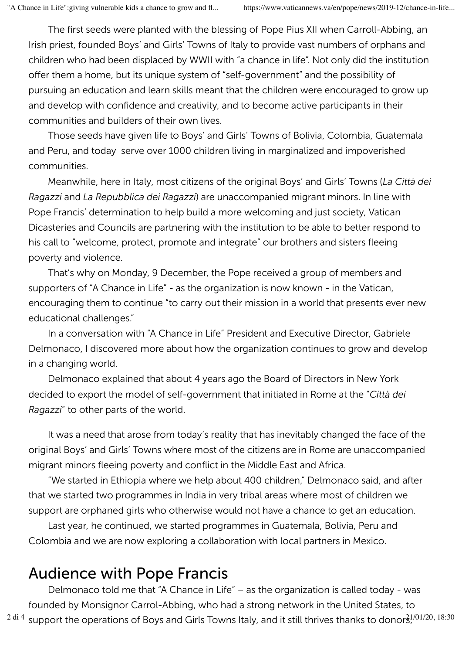The first seeds were planted with the blessing of Pope Pius XII when Carroll-Abbing, an Irish priest, founded Boys' and Girls' Towns of Italy to provide vast numbers of orphans and children who had been displaced by WWII with "a chance in life". Not only did the institution offer them a home, but its unique system of "self-government" and the possibility of pursuing an education and learn skills meant that the children were encouraged to grow up and develop with confidence and creativity, and to become active participants in their communities and builders of their own lives.

Those seeds have given life to Boys' and Girls' Towns of Bolivia, Colombia, Guatemala and Peru, and today serve over 1000 children living in marginalized and impoverished communities.

Meanwhile, here in Italy, most citizens of the original Boys' and Girls' Towns (*La Città dei Ragazzi* and *La Repubblica dei Ragazzi*) are unaccompanied migrant minors. In line with Pope Francis' determination to help build a more welcoming and just society, Vatican Dicasteries and Councils are partnering with the institution to be able to better respond to his call to "welcome, protect, promote and integrate" our brothers and sisters fleeing poverty and violence.

That's why on Monday, 9 December, the Pope received a group of members and supporters of "A Chance in Life" - as the organization is now known - in the Vatican, encouraging them to continue "to carry out their mission in a world that presents ever new educational challenges."

In a conversation with "A Chance in Life" President and Executive Director, Gabriele Delmonaco, I discovered more about how the organization continues to grow and develop in a changing world.

Delmonaco explained that about 4 years ago the Board of Directors in New York decided to export the model of self-government that initiated in Rome at the "*Città dei Ragazzi*" to other parts of the world.

It was a need that arose from today's reality that has inevitably changed the face of the original Boys' and Girls' Towns where most of the citizens are in Rome are unaccompanied migrant minors fleeing poverty and conflict in the Middle East and Africa.

"We started in Ethiopia where we help about 400 children," Delmonaco said, and after that we started two programmes in India in very tribal areas where most of children we support are orphaned girls who otherwise would not have a chance to get an education.

Last year, he continued, we started programmes in Guatemala, Bolivia, Peru and Colombia and we are now exploring a collaboration with local partners in Mexico.

## Audience with Pope Francis

Delmonaco told me that "A Chance in Life" – as the organization is called today - was founded by Monsignor Carrol-Abbing, who had a strong network in the United States, to  $^{2 \text{ di 4}}$  support the operations of Boys and Girls Towns Italy, and it still thrives thanks to donor $3^{1/01/20, 18:30}$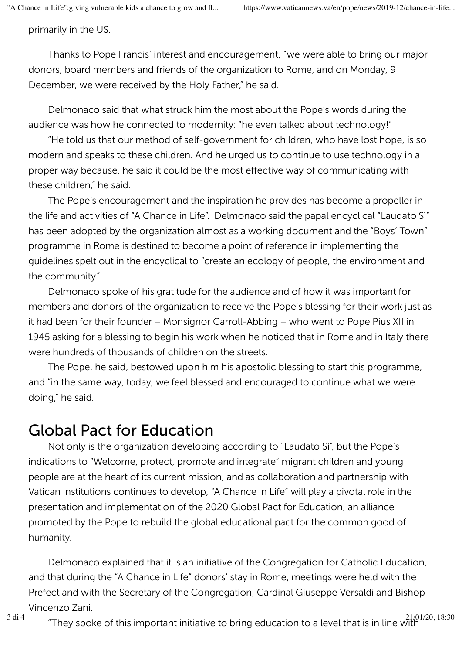primarily in the US.

Thanks to Pope Francis' interest and encouragement, "we were able to bring our major donors, board members and friends of the organization to Rome, and on Monday, 9 December, we were received by the Holy Father," he said.

Delmonaco said that what struck him the most about the Pope's words during the audience was how he connected to modernity: "he even talked about technology!"

"He told us that our method of self-government for children, who have lost hope, is so modern and speaks to these children. And he urged us to continue to use technology in a proper way because, he said it could be the most effective way of communicating with these children," he said.

The Pope's encouragement and the inspiration he provides has become a propeller in the life and activities of "A Chance in Life". Delmonaco said the papal encyclical "Laudato Sì" has been adopted by the organization almost as a working document and the "Boys' Town" programme in Rome is destined to become a point of reference in implementing the guidelines spelt out in the encyclical to "create an ecology of people, the environment and the community."

Delmonaco spoke of his gratitude for the audience and of how it was important for members and donors of the organization to receive the Pope's blessing for their work just as it had been for their founder – Monsignor Carroll-Abbing – who went to Pope Pius XII in 1945 asking for a blessing to begin his work when he noticed that in Rome and in Italy there were hundreds of thousands of children on the streets.

The Pope, he said, bestowed upon him his apostolic blessing to start this programme, and "in the same way, today, we feel blessed and encouraged to continue what we were doing," he said.

## Global Pact for Education

Not only is the organization developing according to "Laudato Sì", but the Pope's indications to "Welcome, protect, promote and integrate" migrant children and young people are at the heart of its current mission, and as collaboration and partnership with Vatican institutions continues to develop, "A Chance in Life" will play a pivotal role in the presentation and implementation of the 2020 Global Pact for Education, an alliance promoted by the Pope to rebuild the global educational pact for the common good of humanity.

Delmonaco explained that it is an initiative of the Congregation for Catholic Education, and that during the "A Chance in Life" donors' stay in Rome, meetings were held with the Prefect and with the Secretary of the Congregation, Cardinal Giuseppe Versaldi and Bishop Vincenzo Zani.

<sup>3 di 4</sup>  $\cdot$  "They spoke of this important initiative to bring education to a level that is in line with "